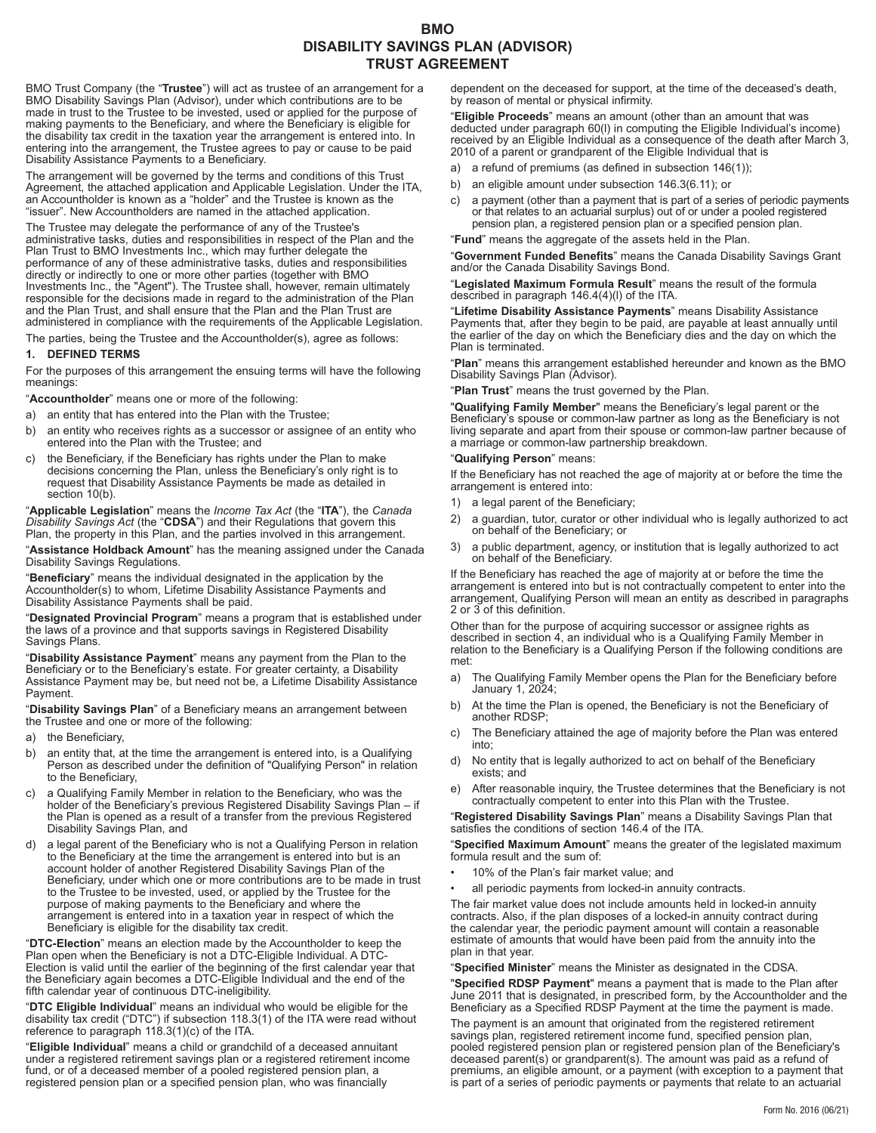# **BMO DISABILITY SAVINGS PLAN (ADVISOR) TRUST AGREEMENT**

BMO Trust Company (the "**Trustee**") will act as trustee of an arrangement for a BMO Disability Savings Plan (Advisor), under which contributions are to be made in trust to the Trustee to be invested, used or applied for the purpose of making payments to the Beneficiary, and where the Beneficiary is eligible for the disability tax credit in the taxation year the arrangement is entered into. In entering into the arrangement, the Trustee agrees to pay or cause to be paid Disability Assistance Payments to a Beneficiary.

The arrangement will be governed by the terms and conditions of this Trust Agreement, the attached application and Applicable Legislation. Under the ITA, an Accountholder is known as a "holder" and the Trustee is known as the "issuer". New Accountholders are named in the attached application.

The Trustee may delegate the performance of any of the Trustee's administrative tasks, duties and responsibilities in respect of the Plan and the Plan Trust to BMO Investments Inc., which may further delegate the performance of any of these administrative tasks, duties and responsibilities directly or indirectly to one or more other parties (together with BMO Investments Inc., the "Agent"). The Trustee shall, however, remain ultimately responsible for the decisions made in regard to the administration of the Plan and the Plan Trust, and shall ensure that the Plan and the Plan Trust are administered in compliance with the requirements of the Applicable Legislation.

The parties, being the Trustee and the Accountholder(s), agree as follows:

#### **1. DEFINED TERMS**

For the purposes of this arrangement the ensuing terms will have the following meanings:

"**Accountholder**" means one or more of the following:

- a) an entity that has entered into the Plan with the Trustee;
- b) an entity who receives rights as a successor or assignee of an entity who entered into the Plan with the Trustee; and
- c) the Beneficiary, if the Beneficiary has rights under the Plan to make decisions concerning the Plan, unless the Beneficiary's only right is to request that Disability Assistance Payments be made as detailed in section 10(b).

"**Applicable Legislation**" means the *Income Tax Act* (the "**ITA**"), the *Canada Disability Savings Act* (the "**CDSA**") and their Regulations that govern this Plan, the property in this Plan, and the parties involved in this arrangement.

"**Assistance Holdback Amount**" has the meaning assigned under the Canada Disability Savings Regulations.

"**Beneficiary**" means the individual designated in the application by the Accountholder(s) to whom, Lifetime Disability Assistance Payments and Disability Assistance Payments shall be paid.

"**Designated Provincial Program**" means a program that is established under the laws of a province and that supports savings in Registered Disability Savings Plans.

"**Disability Assistance Payment**" means any payment from the Plan to the Beneficiary or to the Beneficiary's estate. For greater certainty, a Disability Assistance Payment may be, but need not be, a Lifetime Disability Assistance Payment.

"**Disability Savings Plan**" of a Beneficiary means an arrangement between the Trustee and one or more of the following:

- a) the Beneficiary,
- b) an entity that, at the time the arrangement is entered into, is a Qualifying Person as described under the definition of "Qualifying Person" in relation to the Beneficiary,
- a Qualifying Family Member in relation to the Beneficiary, who was the holder of the Beneficiary's previous Registered Disability Savings Plan – if the Plan is opened as a result of a transfer from the previous Registered Disability Savings Plan, and
- d) a legal parent of the Beneficiary who is not a Qualifying Person in relation to the Beneficiary at the time the arrangement is entered into but is an account holder of another Registered Disability Savings Plan of the Beneficiary, under which one or more contributions are to be made in trust to the Trustee to be invested, used, or applied by the Trustee for the purpose of making payments to the Beneficiary and where the arrangement is entered into in a taxation year in respect of which the Beneficiary is eligible for the disability tax credit.

"**DTC-Election**" means an election made by the Accountholder to keep the Plan open when the Beneficiary is not a DTC-Eligible Individual. A DTC-Election is valid until the earlier of the beginning of the first calendar year that the Beneficiary again becomes a DTC-Eligible Individual and the end of the fifth calendar year of continuous DTC-ineligibility.

"**DTC Eligible Individual**" means an individual who would be eligible for the disability tax credit ("DTC") if subsection 118.3(1) of the ITA were read without reference to paragraph 118.3(1)(c) of the ITA.

"**Eligible Individual**" means a child or grandchild of a deceased annuitant under a registered retirement savings plan or a registered retirement income fund, or of a deceased member of a pooled registered pension plan, a registered pension plan or a specified pension plan, who was financially

dependent on the deceased for support, at the time of the deceased's death, by reason of mental or physical infirmity.

"**Eligible Proceeds**" means an amount (other than an amount that was deducted under paragraph 60(l) in computing the Eligible Individual's income) received by an Eligible Individual as a consequence of the death after March 3, 2010 of a parent or grandparent of the Eligible Individual that is

- a) a refund of premiums (as defined in subsection 146(1));
- b) an eligible amount under subsection 146.3(6.11); or
- c) a payment (other than a payment that is part of a series of periodic payments or that relates to an actuarial surplus) out of or under a pooled registered pension plan, a registered pension plan or a specified pension plan.

"**Fund**" means the aggregate of the assets held in the Plan.

"**Government Funded Benefits**" means the Canada Disability Savings Grant and/or the Canada Disability Savings Bond.

"**Legislated Maximum Formula Result**" means the result of the formula described in paragraph 146.4(4)(l) of the ITA.

"**Lifetime Disability Assistance Payments**" means Disability Assistance Payments that, after they begin to be paid, are payable at least annually until the earlier of the day on which the Beneficiary dies and the day on which the Plan is terminated.

"**Plan**" means this arrangement established hereunder and known as the BMO Disability Savings Plan (Advisor).

"**Plan Trust**" means the trust governed by the Plan.

"**Qualifying Family Member**" means the Beneficiary's legal parent or the Beneficiary's spouse or common-law partner as long as the Beneficiary is not living separate and apart from their spouse or common-law partner because of a marriage or common-law partnership breakdown.

### "**Qualifying Person**" means:

If the Beneficiary has not reached the age of majority at or before the time the arrangement is entered into:

- 1) a legal parent of the Beneficiary;
- 2) a guardian, tutor, curator or other individual who is legally authorized to act on behalf of the Beneficiary; or
- 3) a public department, agency, or institution that is legally authorized to act on behalf of the Beneficiary.

If the Beneficiary has reached the age of majority at or before the time the arrangement is entered into but is not contractually competent to enter into the arrangement, Qualifying Person will mean an entity as described in paragraphs 2 or 3 of this definition.

Other than for the purpose of acquiring successor or assignee rights as described in section 4, an individual who is a Qualifying Family Member in relation to the Beneficiary is a Qualifying Person if the following conditions are met:

- a) The Qualifying Family Member opens the Plan for the Beneficiary before January 1, 2024;
- b) At the time the Plan is opened, the Beneficiary is not the Beneficiary of another RDSP;
- c) The Beneficiary attained the age of majority before the Plan was entered into;
- d) No entity that is legally authorized to act on behalf of the Beneficiary exists; and
- e) After reasonable inquiry, the Trustee determines that the Beneficiary is not contractually competent to enter into this Plan with the Trustee.

"**Registered Disability Savings Plan**" means a Disability Savings Plan that satisfies the conditions of section 146.4 of the ITA.

"**Specified Maximum Amount**" means the greater of the legislated maximum formula result and the sum of:

- 10% of the Plan's fair market value; and
- all periodic payments from locked-in annuity contracts.

The fair market value does not include amounts held in locked-in annuity contracts. Also, if the plan disposes of a locked-in annuity contract during the calendar year, the periodic payment amount will contain a reasonable estimate of amounts that would have been paid from the annuity into the plan in that year.

"**Specified Minister**" means the Minister as designated in the CDSA.

"**Specified RDSP Payment**" means a payment that is made to the Plan after June 2011 that is designated, in prescribed form, by the Accountholder and the Beneficiary as a Specified RDSP Payment at the time the payment is made.

The payment is an amount that originated from the registered retirement savings plan, registered retirement income fund, specified pension plan, pooled registered pension plan or registered pension plan of the Beneficiary's deceased parent(s) or grandparent(s). The amount was paid as a refund of premiums, an eligible amount, or a payment (with exception to a payment that is part of a series of periodic payments or payments that relate to an actuarial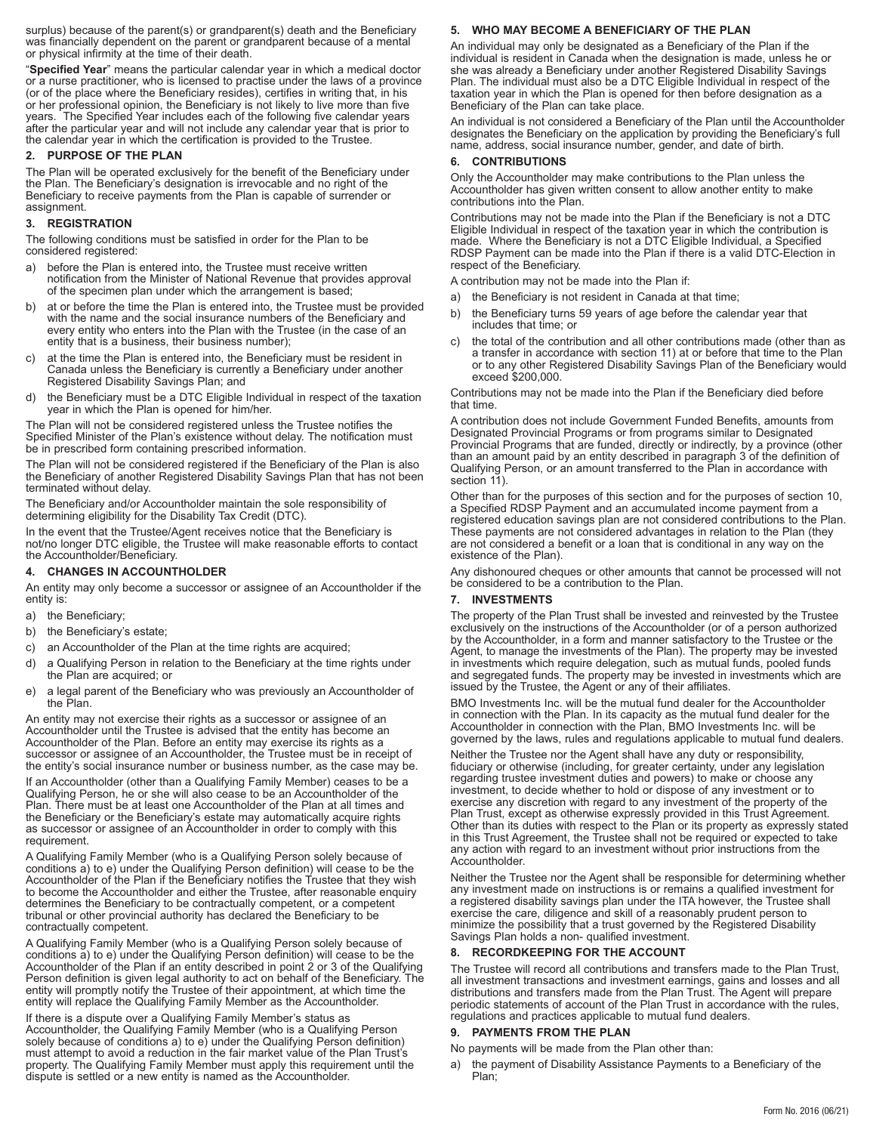surplus) because of the parent(s) or grandparent(s) death and the Beneficiary was financially dependent on the parent or grandparent because of a mental or physical infirmity at the time of their death.

"**Specified Year**" means the particular calendar year in which a medical doctor or a nurse practitioner, who is licensed to practise under the laws of a province (or of the place where the Beneficiary resides), certifies in writing that, in his or her professional opinion, the Beneficiary is not likely to live more than five years. The Specified Year includes each of the following five calendar years after the particular year and will not include any calendar year that is prior to the calendar year in which the certification is provided to the Trustee.

#### **2. PURPOSE OF THE PLAN**

The Plan will be operated exclusively for the benefit of the Beneficiary under the Plan. The Beneficiary's designation is irrevocable and no right of the Beneficiary to receive payments from the Plan is capable of surrender or assignment.

## **3. REGISTRATION**

The following conditions must be satisfied in order for the Plan to be considered registered:

- before the Plan is entered into, the Trustee must receive written notification from the Minister of National Revenue that provides approval of the specimen plan under which the arrangement is based;
- b) at or before the time the Plan is entered into, the Trustee must be provided with the name and the social insurance numbers of the Beneficiary and every entity who enters into the Plan with the Trustee (in the case of an entity that is a business, their business number);
- at the time the Plan is entered into, the Beneficiary must be resident in Canada unless the Beneficiary is currently a Beneficiary under another Registered Disability Savings Plan; and
- d) the Beneficiary must be a DTC Eligible Individual in respect of the taxation year in which the Plan is opened for him/her.

The Plan will not be considered registered unless the Trustee notifies the Specified Minister of the Plan's existence without delay. The notification must be in prescribed form containing prescribed information.

The Plan will not be considered registered if the Beneficiary of the Plan is also the Beneficiary of another Registered Disability Savings Plan that has not been terminated without delay.

The Beneficiary and/or Accountholder maintain the sole responsibility of determining eligibility for the Disability Tax Credit (DTC).

In the event that the Trustee/Agent receives notice that the Beneficiary is not/no longer DTC eligible, the Trustee will make reasonable efforts to contact the Accountholder/Beneficiary.

# **4. CHANGES IN ACCOUNTHOLDER**

An entity may only become a successor or assignee of an Accountholder if the entity is:

- a) the Beneficiary;
- b) the Beneficiary's estate;
- c) an Accountholder of the Plan at the time rights are acquired;
- d) a Qualifying Person in relation to the Beneficiary at the time rights under the Plan are acquired; or
- e) a legal parent of the Beneficiary who was previously an Accountholder of the Plan.

An entity may not exercise their rights as a successor or assignee of an Accountholder until the Trustee is advised that the entity has become an Accountholder of the Plan. Before an entity may exercise its rights as a successor or assignee of an Accountholder, the Trustee must be in receipt of the entity's social insurance number or business number, as the case may be.

If an Accountholder (other than a Qualifying Family Member) ceases to be a Qualifying Person, he or she will also cease to be an Accountholder of the Plan. There must be at least one Accountholder of the Plan at all times and the Beneficiary or the Beneficiary's estate may automatically acquire rights as successor or assignee of an Accountholder in order to comply with this requirement.

A Qualifying Family Member (who is a Qualifying Person solely because of conditions a) to e) under the Qualifying Person definition) will cease to be the Accountholder of the Plan if the Beneficiary notifies the Trustee that they wish to become the Accountholder and either the Trustee, after reasonable enquiry determines the Beneficiary to be contractually competent, or a competent tribunal or other provincial authority has declared the Beneficiary to be contractually competent.

A Qualifying Family Member (who is a Qualifying Person solely because of conditions a) to e) under the Qualifying Person definition) will cease to be the Accountholder of the Plan if an entity described in point 2 or 3 of the Qualifying Person definition is given legal authority to act on behalf of the Beneficiary. The entity will promptly notify the Trustee of their appointment, at which time the entity will replace the Qualifying Family Member as the Accountholder.

If there is a dispute over a Qualifying Family Member's status as Accountholder, the Qualifying Family Member (who is a Qualifying Person solely because of conditions a) to e) under the Qualifying Person definition) must attempt to avoid a reduction in the fair market value of the Plan Trust's property. The Qualifying Family Member must apply this requirement until the dispute is settled or a new entity is named as the Accountholder.

# **5. WHO MAY BECOME A BENEFICIARY OF THE PLAN**

An individual may only be designated as a Beneficiary of the Plan if the individual is resident in Canada when the designation is made, unless he or she was already a Beneficiary under another Registered Disability Savings Plan. The individual must also be a DTC Eligible Individual in respect of the taxation year in which the Plan is opened for then before designation as a Beneficiary of the Plan can take place.

An individual is not considered a Beneficiary of the Plan until the Accountholder designates the Beneficiary on the application by providing the Beneficiary's full name, address, social insurance number, gender, and date of birth.

#### **6. CONTRIBUTIONS**

Only the Accountholder may make contributions to the Plan unless the Accountholder has given written consent to allow another entity to make contributions into the Plan.

Contributions may not be made into the Plan if the Beneficiary is not a DTC Eligible Individual in respect of the taxation year in which the contribution is made. Where the Beneficiary is not a DTC Eligible Individual, a Specified RDSP Payment can be made into the Plan if there is a valid DTC-Election in respect of the Beneficiary.

A contribution may not be made into the Plan if:

- a) the Beneficiary is not resident in Canada at that time;
- b) the Beneficiary turns 59 years of age before the calendar year that includes that time; or
- c) the total of the contribution and all other contributions made (other than as a transfer in accordance with section 11) at or before that time to the Plan or to any other Registered Disability Savings Plan of the Beneficiary would exceed \$200,000.

Contributions may not be made into the Plan if the Beneficiary died before that time.

A contribution does not include Government Funded Benefits, amounts from Designated Provincial Programs or from programs similar to Designated Provincial Programs that are funded, directly or indirectly, by a province (other than an amount paid by an entity described in paragraph 3 of the definition of Qualifying Person, or an amount transferred to the Plan in accordance with section 11).

Other than for the purposes of this section and for the purposes of section 10, a Specified RDSP Payment and an accumulated income payment from a registered education savings plan are not considered contributions to the Plan. These payments are not considered advantages in relation to the Plan (they are not considered a benefit or a loan that is conditional in any way on the existence of the Plan).

Any dishonoured cheques or other amounts that cannot be processed will not be considered to be a contribution to the Plan.

#### **7. INVESTMENTS**

The property of the Plan Trust shall be invested and reinvested by the Trustee exclusively on the instructions of the Accountholder (or of a person authorized by the Accountholder, in a form and manner satisfactory to the Trustee or the Agent, to manage the investments of the Plan). The property may be invested in investments which require delegation, such as mutual funds, pooled funds and segregated funds. The property may be invested in investments which are issued by the Trustee, the Agent or any of their affiliates.

BMO Investments Inc. will be the mutual fund dealer for the Accountholder in connection with the Plan. In its capacity as the mutual fund dealer for the Accountholder in connection with the Plan, BMO Investments Inc. will be governed by the laws, rules and regulations applicable to mutual fund dealers.

Neither the Trustee nor the Agent shall have any duty or responsibility, fiduciary or otherwise (including, for greater certainty, under any legislation regarding trustee investment duties and powers) to make or choose any investment, to decide whether to hold or dispose of any investment or to exercise any discretion with regard to any investment of the property of the Plan Trust, except as otherwise expressly provided in this Trust Agreement. Other than its duties with respect to the Plan or its property as expressly stated in this Trust Agreement, the Trustee shall not be required or expected to take any action with regard to an investment without prior instructions from the Accountholder.

Neither the Trustee nor the Agent shall be responsible for determining whether any investment made on instructions is or remains a qualified investment for a registered disability savings plan under the ITA however, the Trustee shall exercise the care, diligence and skill of a reasonably prudent person to minimize the possibility that a trust governed by the Registered Disability Savings Plan holds a non- qualified investment.

# **8. RECORDKEEPING FOR THE ACCOUNT**

The Trustee will record all contributions and transfers made to the Plan Trust, all investment transactions and investment earnings, gains and losses and all distributions and transfers made from the Plan Trust. The Agent will prepare periodic statements of account of the Plan Trust in accordance with the rules, regulations and practices applicable to mutual fund dealers.

#### **9. PAYMENTS FROM THE PLAN**

No payments will be made from the Plan other than:

a) the payment of Disability Assistance Payments to a Beneficiary of the Plan;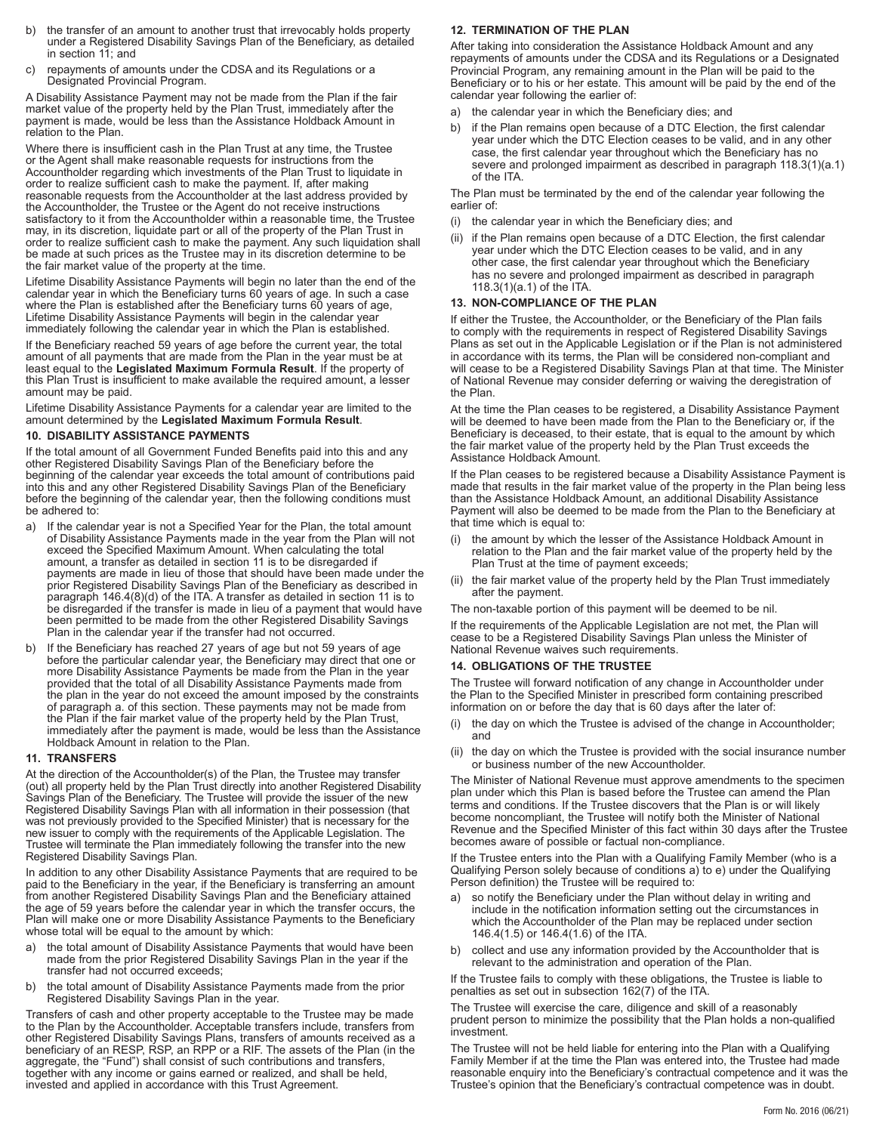- b) the transfer of an amount to another trust that irrevocably holds property under a Registered Disability Savings Plan of the Beneficiary, as detailed in section 11; and
- repayments of amounts under the CDSA and its Regulations or a Designated Provincial Program.

A Disability Assistance Payment may not be made from the Plan if the fair market value of the property held by the Plan Trust, immediately after the payment is made, would be less than the Assistance Holdback Amount in relation to the Plan.

Where there is insufficient cash in the Plan Trust at any time, the Trustee or the Agent shall make reasonable requests for instructions from the Accountholder regarding which investments of the Plan Trust to liquidate in order to realize sufficient cash to make the payment. If, after making reasonable requests from the Accountholder at the last address provided by the Accountholder, the Trustee or the Agent do not receive instructions satisfactory to it from the Accountholder within a reasonable time, the Trustee may, in its discretion, liquidate part or all of the property of the Plan Trust in order to realize sufficient cash to make the payment. Any such liquidation shall be made at such prices as the Trustee may in its discretion determine to be the fair market value of the property at the time.

Lifetime Disability Assistance Payments will begin no later than the end of the calendar year in which the Beneficiary turns 60 years of age. In such a case where the Plan is established after the Beneficiary turns 60 years of age, Lifetime Disability Assistance Payments will begin in the calendar year immediately following the calendar year in which the Plan is established.

If the Beneficiary reached 59 years of age before the current year, the total amount of all payments that are made from the Plan in the year must be at least equal to the **Legislated Maximum Formula Result**. If the property of this Plan Trust is insufficient to make available the required amount, a lesser amount may be paid.

Lifetime Disability Assistance Payments for a calendar year are limited to the amount determined by the **Legislated Maximum Formula Result**.

#### **10. DISABILITY ASSISTANCE PAYMENTS**

If the total amount of all Government Funded Benefits paid into this and any other Registered Disability Savings Plan of the Beneficiary before the beginning of the calendar year exceeds the total amount of contributions paid into this and any other Registered Disability Savings Plan of the Beneficiary before the beginning of the calendar year, then the following conditions must be adhered to:

- a) If the calendar year is not a Specified Year for the Plan, the total amount of Disability Assistance Payments made in the year from the Plan will not exceed the Specified Maximum Amount. When calculating the total amount, a transfer as detailed in section 11 is to be disregarded if payments are made in lieu of those that should have been made under the prior Registered Disability Savings Plan of the Beneficiary as described in paragraph 146.4(8)(d) of the ITA. A transfer as detailed in section 11 is to be disregarded if the transfer is made in lieu of a payment that would have been permitted to be made from the other Registered Disability Savings Plan in the calendar year if the transfer had not occurred.
- b) If the Beneficiary has reached 27 years of age but not 59 years of age before the particular calendar year, the Beneficiary may direct that one or more Disability Assistance Payments be made from the Plan in the year provided that the total of all Disability Assistance Payments made from the plan in the year do not exceed the amount imposed by the constraints of paragraph a. of this section. These payments may not be made from the Plan if the fair market value of the property held by the Plan Trust, immediately after the payment is made, would be less than the Assistance Holdback Amount in relation to the Plan.

#### **11. TRANSFERS**

At the direction of the Accountholder(s) of the Plan, the Trustee may transfer (out) all property held by the Plan Trust directly into another Registered Disability Savings Plan of the Beneficiary. The Trustee will provide the issuer of the new Registered Disability Savings Plan with all information in their possession (that was not previously provided to the Specified Minister) that is necessary for the new issuer to comply with the requirements of the Applicable Legislation. The Trustee will terminate the Plan immediately following the transfer into the new Registered Disability Savings Plan.

In addition to any other Disability Assistance Payments that are required to be paid to the Beneficiary in the year, if the Beneficiary is transferring an amount from another Registered Disability Savings Plan and the Beneficiary attained the age of 59 years before the calendar year in which the transfer occurs, the Plan will make one or more Disability Assistance Payments to the Beneficiary whose total will be equal to the amount by which:

- a) the total amount of Disability Assistance Payments that would have been made from the prior Registered Disability Savings Plan in the year if the transfer had not occurred exceeds;
- b) the total amount of Disability Assistance Payments made from the prior Registered Disability Savings Plan in the year.

Transfers of cash and other property acceptable to the Trustee may be made to the Plan by the Accountholder. Acceptable transfers include, transfers from other Registered Disability Savings Plans, transfers of amounts received as a beneficiary of an RESP, RSP, an RPP or a RIF. The assets of the Plan (in the aggregate, the "Fund") shall consist of such contributions and transfers, together with any income or gains earned or realized, and shall be held, invested and applied in accordance with this Trust Agreement.

# **12. TERMINATION OF THE PLAN**

After taking into consideration the Assistance Holdback Amount and any repayments of amounts under the CDSA and its Regulations or a Designated Provincial Program, any remaining amount in the Plan will be paid to the Beneficiary or to his or her estate. This amount will be paid by the end of the calendar year following the earlier of:

- a) the calendar year in which the Beneficiary dies; and
- b) if the Plan remains open because of a DTC Election, the first calendar year under which the DTC Election ceases to be valid, and in any other case, the first calendar year throughout which the Beneficiary has no severe and prolonged impairment as described in paragraph 118.3(1)(a.1) of the ITA.

The Plan must be terminated by the end of the calendar year following the earlier of:

- (i) the calendar year in which the Beneficiary dies; and
- (ii) if the Plan remains open because of a DTC Election, the first calendar year under which the DTC Election ceases to be valid, and in any other case, the first calendar year throughout which the Beneficiary has no severe and prolonged impairment as described in paragraph 118.3(1)(a.1) of the ITA.

### **13. NON-COMPLIANCE OF THE PLAN**

If either the Trustee, the Accountholder, or the Beneficiary of the Plan fails to comply with the requirements in respect of Registered Disability Savings Plans as set out in the Applicable Legislation or if the Plan is not administered in accordance with its terms, the Plan will be considered non-compliant and will cease to be a Registered Disability Savings Plan at that time. The Minister of National Revenue may consider deferring or waiving the deregistration of the Plan.

At the time the Plan ceases to be registered, a Disability Assistance Payment will be deemed to have been made from the Plan to the Beneficiary or, if the Beneficiary is deceased, to their estate, that is equal to the amount by which the fair market value of the property held by the Plan Trust exceeds the Assistance Holdback Amount.

If the Plan ceases to be registered because a Disability Assistance Payment is made that results in the fair market value of the property in the Plan being less than the Assistance Holdback Amount, an additional Disability Assistance Payment will also be deemed to be made from the Plan to the Beneficiary at that time which is equal to:

- (i) the amount by which the lesser of the Assistance Holdback Amount in relation to the Plan and the fair market value of the property held by the Plan Trust at the time of payment exceeds;
- the fair market value of the property held by the Plan Trust immediately after the payment.

The non-taxable portion of this payment will be deemed to be nil.

If the requirements of the Applicable Legislation are not met, the Plan will cease to be a Registered Disability Savings Plan unless the Minister of National Revenue waives such requirements.

#### **14. OBLIGATIONS OF THE TRUSTEE**

The Trustee will forward notification of any change in Accountholder under the Plan to the Specified Minister in prescribed form containing prescribed information on or before the day that is 60 days after the later of:

- (i) the day on which the Trustee is advised of the change in Accountholder; and
- (ii) the day on which the Trustee is provided with the social insurance number or business number of the new Accountholder.

The Minister of National Revenue must approve amendments to the specimen plan under which this Plan is based before the Trustee can amend the Plan terms and conditions. If the Trustee discovers that the Plan is or will likely become noncompliant, the Trustee will notify both the Minister of National Revenue and the Specified Minister of this fact within 30 days after the Trustee becomes aware of possible or factual non-compliance.

If the Trustee enters into the Plan with a Qualifying Family Member (who is a Qualifying Person solely because of conditions a) to e) under the Qualifying Person definition) the Trustee will be required to:

- so notify the Beneficiary under the Plan without delay in writing and include in the notification information setting out the circumstances in which the Accountholder of the Plan may be replaced under section 146.4(1.5) or 146.4(1.6) of the ITA.
- b) collect and use any information provided by the Accountholder that is relevant to the administration and operation of the Plan.

If the Trustee fails to comply with these obligations, the Trustee is liable to penalties as set out in subsection 162(7) of the ITA.

The Trustee will exercise the care, diligence and skill of a reasonably prudent person to minimize the possibility that the Plan holds a non-qualified investment.

The Trustee will not be held liable for entering into the Plan with a Qualifying Family Member if at the time the Plan was entered into, the Trustee had made reasonable enquiry into the Beneficiary's contractual competence and it was the Trustee's opinion that the Beneficiary's contractual competence was in doubt.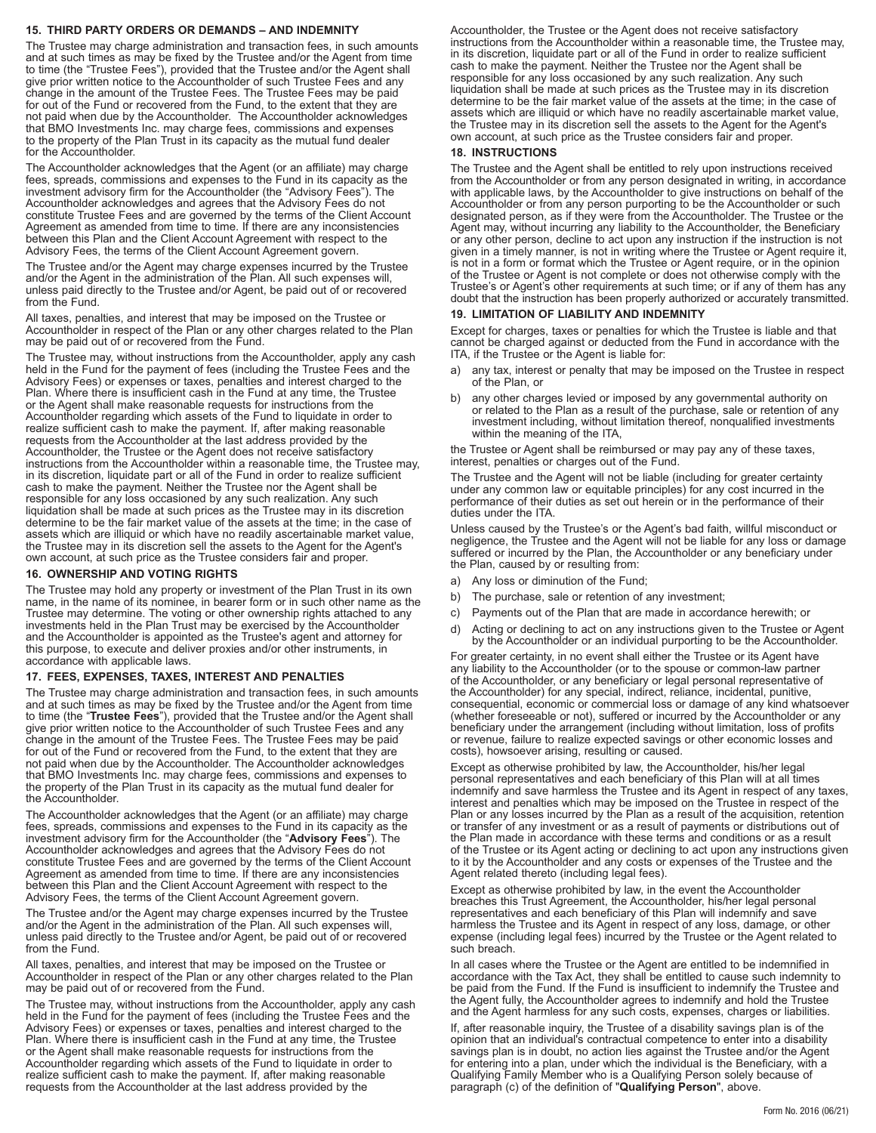# **15. THIRD PARTY ORDERS OR DEMANDS – AND INDEMNITY**

The Trustee may charge administration and transaction fees, in such amounts and at such times as may be fixed by the Trustee and/or the Agent from time to time (the "Trustee Fees"), provided that the Trustee and/or the Agent shall give prior written notice to the Accountholder of such Trustee Fees and any change in the amount of the Trustee Fees. The Trustee Fees may be paid for out of the Fund or recovered from the Fund, to the extent that they are not paid when due by the Accountholder. The Accountholder acknowledges that BMO Investments Inc. may charge fees, commissions and expenses to the property of the Plan Trust in its capacity as the mutual fund dealer for the Accountholder.

The Accountholder acknowledges that the Agent (or an affiliate) may charge fees, spreads, commissions and expenses to the Fund in its capacity as the investment advisory firm for the Accountholder (the "Advisory Fees"). The Accountholder acknowledges and agrees that the Advisory Fees do not constitute Trustee Fees and are governed by the terms of the Client Account Agreement as amended from time to time. If there are any inconsistencies between this Plan and the Client Account Agreement with respect to the Advisory Fees, the terms of the Client Account Agreement govern.

The Trustee and/or the Agent may charge expenses incurred by the Trustee and/or the Agent in the administration of the Plan. All such expenses will, unless paid directly to the Trustee and/or Agent, be paid out of or recovered from the Fund.

All taxes, penalties, and interest that may be imposed on the Trustee or Accountholder in respect of the Plan or any other charges related to the Plan may be paid out of or recovered from the Fund.

The Trustee may, without instructions from the Accountholder, apply any cash held in the Fund for the payment of fees (including the Trustee Fees and the Advisory Fees) or expenses or taxes, penalties and interest charged to the Plan. Where there is insufficient cash in the Fund at any time, the Trustee or the Agent shall make reasonable requests for instructions from the Accountholder regarding which assets of the Fund to liquidate in order to realize sufficient cash to make the payment. If, after making reasonable requests from the Accountholder at the last address provided by the Accountholder, the Trustee or the Agent does not receive satisfactory instructions from the Accountholder within a reasonable time, the Trustee may, in its discretion, liquidate part or all of the Fund in order to realize sufficient cash to make the payment. Neither the Trustee nor the Agent shall be responsible for any loss occasioned by any such realization. Any such liquidation shall be made at such prices as the Trustee may in its discretion determine to be the fair market value of the assets at the time; in the case of assets which are illiquid or which have no readily ascertainable market value, the Trustee may in its discretion sell the assets to the Agent for the Agent's own account, at such price as the Trustee considers fair and proper.

#### **16. OWNERSHIP AND VOTING RIGHTS**

The Trustee may hold any property or investment of the Plan Trust in its own name, in the name of its nominee, in bearer form or in such other name as the Trustee may determine. The voting or other ownership rights attached to any investments held in the Plan Trust may be exercised by the Accountholder and the Accountholder is appointed as the Trustee's agent and attorney for this purpose, to execute and deliver proxies and/or other instruments, in accordance with applicable laws.

# **17. FEES, EXPENSES, TAXES, INTEREST AND PENALTIES**

The Trustee may charge administration and transaction fees, in such amounts and at such times as may be fixed by the Trustee and/or the Agent from time to time (the "**Trustee Fees**"), provided that the Trustee and/or the Agent shall give prior written notice to the Accountholder of such Trustee Fees and any change in the amount of the Trustee Fees. The Trustee Fees may be paid for out of the Fund or recovered from the Fund, to the extent that they are not paid when due by the Accountholder. The Accountholder acknowledges that BMO Investments Inc. may charge fees, commissions and expenses to the property of the Plan Trust in its capacity as the mutual fund dealer for the Accountholder.

The Accountholder acknowledges that the Agent (or an affiliate) may charge fees, spreads, commissions and expenses to the Fund in its capacity as the investment advisory firm for the Accountholder (the "**Advisory Fees**"). The Accountholder acknowledges and agrees that the Advisory Fees do not constitute Trustee Fees and are governed by the terms of the Client Account Agreement as amended from time to time. If there are any inconsistencies between this Plan and the Client Account Agreement with respect to the Advisory Fees, the terms of the Client Account Agreement govern.

The Trustee and/or the Agent may charge expenses incurred by the Trustee and/or the Agent in the administration of the Plan. All such expenses will, unless paid directly to the Trustee and/or Agent, be paid out of or recovered from the Fund.

All taxes, penalties, and interest that may be imposed on the Trustee or Accountholder in respect of the Plan or any other charges related to the Plan may be paid out of or recovered from the Fund.

The Trustee may, without instructions from the Accountholder, apply any cash held in the Fund for the payment of fees (including the Trustee Fees and the Advisory Fees) or expenses or taxes, penalties and interest charged to the Plan. Where there is insufficient cash in the Fund at any time, the Trustee or the Agent shall make reasonable requests for instructions from the Accountholder regarding which assets of the Fund to liquidate in order to realize sufficient cash to make the payment. If, after making reasonable requests from the Accountholder at the last address provided by the

Accountholder, the Trustee or the Agent does not receive satisfactory instructions from the Accountholder within a reasonable time, the Trustee may, in its discretion, liquidate part or all of the Fund in order to realize sufficient cash to make the payment. Neither the Trustee nor the Agent shall be responsible for any loss occasioned by any such realization. Any such liquidation shall be made at such prices as the Trustee may in its discretion determine to be the fair market value of the assets at the time; in the case of assets which are illiquid or which have no readily ascertainable market value, the Trustee may in its discretion sell the assets to the Agent for the Agent's own account, at such price as the Trustee considers fair and proper.

#### **18. INSTRUCTIONS**

The Trustee and the Agent shall be entitled to rely upon instructions received from the Accountholder or from any person designated in writing, in accordance with applicable laws, by the Accountholder to give instructions on behalf of the Accountholder or from any person purporting to be the Accountholder or such designated person, as if they were from the Accountholder. The Trustee or the Agent may, without incurring any liability to the Accountholder, the Beneficiary or any other person, decline to act upon any instruction if the instruction is not given in a timely manner, is not in writing where the Trustee or Agent require it, is not in a form or format which the Trustee or Agent require, or in the opinion of the Trustee or Agent is not complete or does not otherwise comply with the Trustee's or Agent's other requirements at such time; or if any of them has any doubt that the instruction has been properly authorized or accurately transmitted.

### **19. LIMITATION OF LIABILITY AND INDEMNITY**

Except for charges, taxes or penalties for which the Trustee is liable and that cannot be charged against or deducted from the Fund in accordance with the ITA, if the Trustee or the Agent is liable for:

- a) any tax, interest or penalty that may be imposed on the Trustee in respect of the Plan, or
- b) any other charges levied or imposed by any governmental authority on or related to the Plan as a result of the purchase, sale or retention of any investment including, without limitation thereof, nonqualified investments within the meaning of the ITA,

the Trustee or Agent shall be reimbursed or may pay any of these taxes, interest, penalties or charges out of the Fund.

The Trustee and the Agent will not be liable (including for greater certainty under any common law or equitable principles) for any cost incurred in the performance of their duties as set out herein or in the performance of their duties under the ITA.

Unless caused by the Trustee's or the Agent's bad faith, willful misconduct or negligence, the Trustee and the Agent will not be liable for any loss or damage suffered or incurred by the Plan, the Accountholder or any beneficiary under the Plan, caused by or resulting from:

- a) Any loss or diminution of the Fund;
- b) The purchase, sale or retention of any investment;
- c) Payments out of the Plan that are made in accordance herewith; or
- d) Acting or declining to act on any instructions given to the Trustee or Agent by the Accountholder or an individual purporting to be the Accountholder.

For greater certainty, in no event shall either the Trustee or its Agent have any liability to the Accountholder (or to the spouse or common-law partner of the Accountholder, or any beneficiary or legal personal representative of the Accountholder) for any special, indirect, reliance, incidental, punitive, consequential, economic or commercial loss or damage of any kind whatsoever (whether foreseeable or not), suffered or incurred by the Accountholder or any beneficiary under the arrangement (including without limitation, loss of profits or revenue, failure to realize expected savings or other economic losses and costs), howsoever arising, resulting or caused.

Except as otherwise prohibited by law, the Accountholder, his/her legal personal representatives and each beneficiary of this Plan will at all times indemnify and save harmless the Trustee and its Agent in respect of any taxes, interest and penalties which may be imposed on the Trustee in respect of the Plan or any losses incurred by the Plan as a result of the acquisition, retention or transfer of any investment or as a result of payments or distributions out of the Plan made in accordance with these terms and conditions or as a result of the Trustee or its Agent acting or declining to act upon any instructions given to it by the Accountholder and any costs or expenses of the Trustee and the Agent related thereto (including legal fees).

Except as otherwise prohibited by law, in the event the Accountholder breaches this Trust Agreement, the Accountholder, his/her legal personal representatives and each beneficiary of this Plan will indemnify and save harmless the Trustee and its Agent in respect of any loss, damage, or other expense (including legal fees) incurred by the Trustee or the Agent related to such breach.

In all cases where the Trustee or the Agent are entitled to be indemnified in accordance with the Tax Act, they shall be entitled to cause such indemnity to be paid from the Fund. If the Fund is insufficient to indemnify the Trustee and the Agent fully, the Accountholder agrees to indemnify and hold the Trustee and the Agent harmless for any such costs, expenses, charges or liabilities.

If, after reasonable inquiry, the Trustee of a disability savings plan is of the opinion that an individual's contractual competence to enter into a disability savings plan is in doubt, no action lies against the Trustee and/or the Agent for entering into a plan, under which the individual is the Beneficiary, with a Qualifying Family Member who is a Qualifying Person solely because of paragraph (c) of the definition of "**Qualifying Person**", above.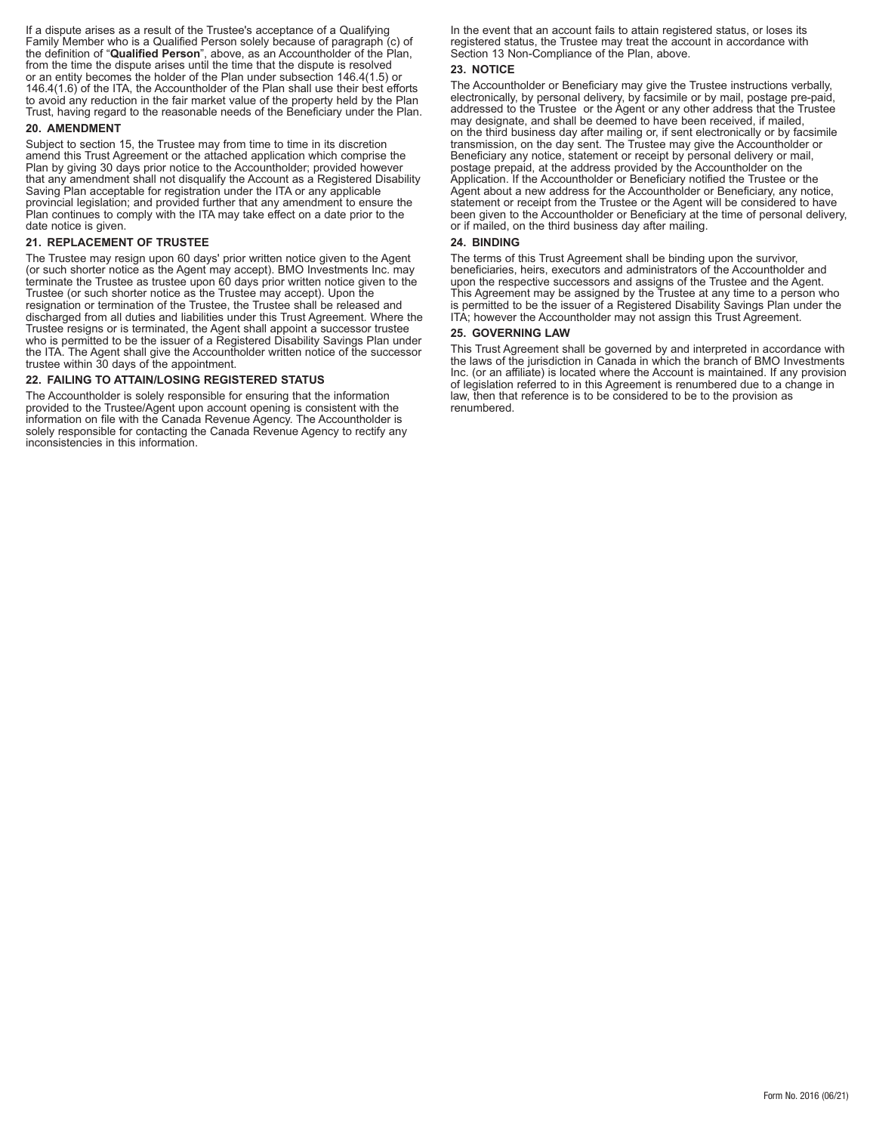If a dispute arises as a result of the Trustee's acceptance of a Qualifying Family Member who is a Qualified Person solely because of paragraph (c) of the definition of "**Qualified Person**", above, as an Accountholder of the Plan, from the time the dispute arises until the time that the dispute is resolved or an entity becomes the holder of the Plan under subsection 146.4(1.5) or 146.4(1.6) of the ITA, the Accountholder of the Plan shall use their best efforts to avoid any reduction in the fair market value of the property held by the Plan Trust, having regard to the reasonable needs of the Beneficiary under the Plan.

### **20. AMENDMENT**

Subject to section 15, the Trustee may from time to time in its discretion amend this Trust Agreement or the attached application which comprise the Plan by giving 30 days prior notice to the Accountholder; provided however that any amendment shall not disqualify the Account as a Registered Disability Saving Plan acceptable for registration under the ITA or any applicable provincial legislation; and provided further that any amendment to ensure the Plan continues to comply with the ITA may take effect on a date prior to the date notice is given.

# **21. REPLACEMENT OF TRUSTEE**

The Trustee may resign upon 60 days' prior written notice given to the Agent (or such shorter notice as the Agent may accept). BMO Investments Inc. may terminate the Trustee as trustee upon 60 days prior written notice given to the Trustee (or such shorter notice as the Trustee may accept). Upon the resignation or termination of the Trustee, the Trustee shall be released and discharged from all duties and liabilities under this Trust Agreement. Where the Trustee resigns or is terminated, the Agent shall appoint a successor trustee who is permitted to be the issuer of a Registered Disability Savings Plan under the ITA. The Agent shall give the Accountholder written notice of the successor trustee within 30 days of the appointment.

### **22. FAILING TO ATTAIN/LOSING REGISTERED STATUS**

The Accountholder is solely responsible for ensuring that the information provided to the Trustee/Agent upon account opening is consistent with the information on file with the Canada Revenue Agency. The Accountholder is solely responsible for contacting the Canada Revenue Agency to rectify any inconsistencies in this information.

In the event that an account fails to attain registered status, or loses its registered status, the Trustee may treat the account in accordance with Section 13 Non-Compliance of the Plan, above.

#### **23. NOTICE**

The Accountholder or Beneficiary may give the Trustee instructions verbally, electronically, by personal delivery, by facsimile or by mail, postage pre-paid, addressed to the Trustee or the Agent or any other address that the Trustee may designate, and shall be deemed to have been received, if mailed, on the third business day after mailing or, if sent electronically or by facsimile transmission, on the day sent. The Trustee may give the Accountholder or Beneficiary any notice, statement or receipt by personal delivery or mail, postage prepaid, at the address provided by the Accountholder on the Application. If the Accountholder or Beneficiary notified the Trustee or the Agent about a new address for the Accountholder or Beneficiary, any notice, statement or receipt from the Trustee or the Agent will be considered to have been given to the Accountholder or Beneficiary at the time of personal delivery, or if mailed, on the third business day after mailing.

#### **24. BINDING**

The terms of this Trust Agreement shall be binding upon the survivor, beneficiaries, heirs, executors and administrators of the Accountholder and upon the respective successors and assigns of the Trustee and the Agent. This Agreement may be assigned by the Trustee at any time to a person who is permitted to be the issuer of a Registered Disability Savings Plan under the ITA; however the Accountholder may not assign this Trust Agreement.

#### **25. GOVERNING LAW**

This Trust Agreement shall be governed by and interpreted in accordance with the laws of the jurisdiction in Canada in which the branch of BMO Investments Inc. (or an affiliate) is located where the Account is maintained. If any provision of legislation referred to in this Agreement is renumbered due to a change in law, then that reference is to be considered to be to the provision as renumbered.